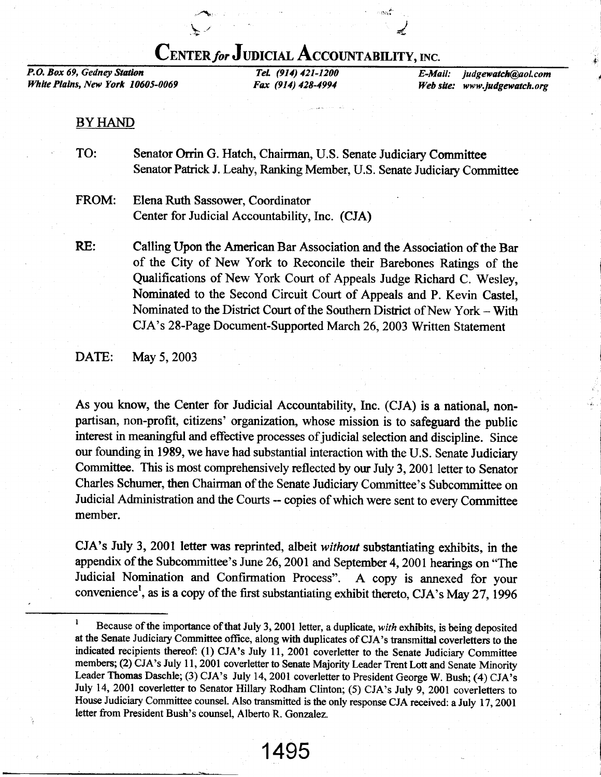# CENTER for JUDICIAL ACCOUNTABILITY, INC.

'sri

J

P.O. Box 69, Gedney Statlon White Plains, New York 10605-0069

Tel. (914) 421-1200 Fax (914) 428-4994

E-Mail: judgewatch@aol.com Web site: www.judgewatch.org

### BY HAND

- TO: Senator Orrin G. Hatch, Chairman, U.S. Senate Judiciary Committee Senator Patrick J. Leahy, Ranking Member, U.S. Senate Judiciary Committee
- FROM: Elena Ruth Sassower, Coordinator Center for Judicial Accountability, Inc. (CJA)

 $\geq$ 

Calling Upon the American Bar Association and the Association of the Bar of the City of New York to Reconcile their Barebones Ratings of the Qualifications of New York Court of Appeals Judge Richard C. Wesley, Nominated to the Second Circuit Court of Appeals and P. Kevin Castel, Nominated to the District Court of the Southern District of New York  $-$  With CJA's 28-Page Document-Supported March 26,2003 Written Statement RE:

DATE: May 5, 2003

As you know, the Center for Judicial Accountability, Inc. (CJA) is a national, nonpartisan, non-profit, citizens' organization, whose mission is to safeguard the public interest in meaningful and effective processes of judicial selection and discipline. Since our founding in 1989, we have had substantial interaction with the U.S. Senate Judiciary Committee. This is most comprehensively reflected by our July 3, 2001 letter to Senator Charles Schumer, then Chairman of the Senate Judiciary Committee's Subcommittee on Judicial Administation and the Courts -- copies of which were sent to every Committee member.

CJA's July 3, 2001 letter was reprinted, albeit without substantiating exhibits, in the appendix of the Subcommittee's June 26, 2001 and September 4, 2001 hearings on "The Judicial Nomination and Confirmation Process". A copy is annexed for your convenience', as is a copy of the first substantiating exhibit thereto, CJA's May 27,1996

<sup>&</sup>lt;sup>1</sup> Because of the importance of that July 3, 2001 letter, a duplicate, with exhibits, is being deposited at the Senate Judiciary Committee office, along with duplicates of CJA's transmittal coverletters to the indicated recipients thereof: (1) CJA's July 11,2001 coverletter to the Senate Judiciary Committee members; (2) CJA's July 11, 2001 coverletter to Senate Majority Leader Trent Lott and Senate Minority Leader Thomas Daschle; (3) CJA's July 14, 2001 coverletter to President George W. Bush; (4) CJA's July 14, 2001 coverletter to Senator Hillary Rodham Clinton; (5) CJA's July 9, 2001 coverletters to House Judiciary Committee counsel. Also transmitted is the only response CJA received: a July 17, 2001 letter from President Bush's counsel, Alberto R. Gonzalez.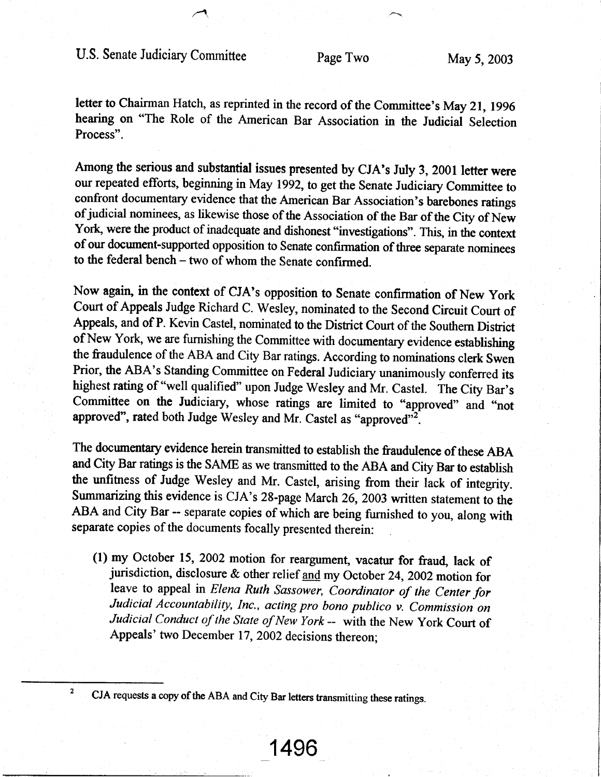4

letter to Chairman Hatch, as reprinted in the record of the Committee's May 21, 1996 hearing on "The Role of the American Bar Association in the Judicial Selection Process".

Among the serious and substantial issues presented by CJA's July 3, 2001 letter were our repeated efforts, beginning in May 1992, to get the Senate Judiciary Committee to confront documentary evidence that the American Bar Association's barebones ratings of judicial nominees, as likewise those of the Association of the Bar of the City of New York, were the product of inadequate and dishonest "investigations". This, in the context of our document-supported opposition to Senate confirmation of three separate nominees to the federal bench - two of whom the Senate confirmed.

Now again, in the context of CJA's opposition to Senate confirmation of New York Court of Appeals Judge Richard C. Wesley, nominated to the Second Circuit Court of Appeals, and of P. Kevin Castel, nominated to the Distict Court of the Southern District of New York, we are furnishing the Committee with documentary evidence establishing the fraudulence of the ABA and City Bar ratings. According to nominations clerk Swen Prior, the ABA's Standing Committee on Federal Judiciary unanimously conferred its highest rating of "well qualified" upon Judge Wesley and Mr. Castel. The City Bar's Committee on the Judiciary, whose ratings are limited to "approved" and "not approved", rated both Judge Wesley and Mr. Castel as "approved"<sup>2</sup>.

The documentary evidence herein tansmitted to establish the fraudulence of these ABA and City Bar ratings is the SAME as we transmitted to the ABA and City Bar to establish the unfitness of Judge Wesley and Mr. Castel, arising from their lack of integrity. Summarizing this evidence is CJA's 28-page March 26,2003 written statement to the ABA and City Bar -- separate copies of which are being furnished to you, along with separate copies of the documents focally presented therein:

(1) my October 15, 2002 motion for reargument, vacatur for fraud, lack of jurisdiction, disclosure & other relief and my October 24, 2002 motion for leave to appeal in *Elena Ruth Sassower*, *Coordinator of the Center for* Judicial Accountability, Inc., acting pro bono publico v. Commission on Judicial Conduct of the State of New York -- with the New York Court of Appeals' two December 17, 2002 decisions thereon;

1496

<sup>2</sup> CJA requests a copy of the ABA and City Bar letters transmitting these ratings.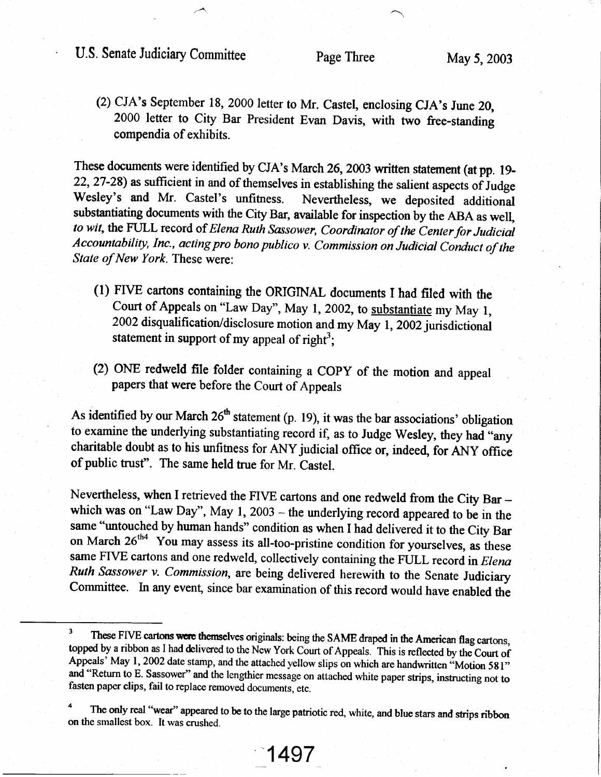## U.S. Senate Judiciary Committee Page Three May 5, 2003

(2) CJA's September 18, 2000 letter to Mr. Castel, enclosing CJA's June 20, 2000 letter to City Bar President Evan Davis, with two free-standing compendia of exhibits.

These documents were identified by CJA's March 26, 2003 written statement (at pp. 19-22, 27-28) as sufficient in and of themselves in establishing the salient aspects of Judge Wesley's and Mr. Castel's unfitness. Nevertheless, we deposited additional Nevertheless, we deposited additional substantiating documents with the City Bar, available for inspection by the ABA as well, to wit, the FULL record of Elena Ruth Sassower, Coordinator of the Center for Judicial Accountability, Inc., acting pro bono publico v. Commission on Judicial Conduct of the State of New York. These were:

- (l) FIVE cartons containing the ONGINAL rdocuments I had filed with the Court of Appeals on "Law Day", May 1, 2002, to substantiate my May 1, 2002 disqualification/disclosure motion and my May 1, 2002 jurisdictional statement in support of my appeal of right<sup>3</sup>;
- (2) ONE redweld file folder containing a COPY of the motion and appeal papers that were before the Court of Appeals

As identified by our March  $26<sup>th</sup>$  statement (p. 19), it was the bar associations' obligation to examine the underlying substantiating record if, as to Judge Wesley, they had "any chariable doubt as to his unfitness for ANY judicial office or, indeed, for ANy oflice of public trust". The same held true for Mr. Castel.

Nevertheless, when I retrieved the FIVE cartons and one redweld from the City Bar which was on "Law Day", May  $1, 2003$  – the underlying record appeared to be in the same "untouched by human hands" condition as when I had delivered it to the City Bar on March  $26<sup>th4</sup>$  You may assess its all-too-pristine condition for yourselves, as these same FIVE cartons and one redweld, collectively containing the FULL record in Elena Ruth Sassower v. Commission, are being delivered herewith to the Senate Judiciary Committee. In any event, since bar examination of this record would have enabled the

<sup>&</sup>lt;sup>3</sup> These FIVE cartons were themselves originals: being the SAME draped in the American flag cartons, topped by a ribbon as I had delivered to the New York Court of Appeals. This is reflected by the Court of Appeals' May 1, 2002 date stamp, and the attached yellow slips on which are handwritten "Motion 581" and "Return to E. Sassower" and the lengthier message on attached white paper strips, instructing not to fasten paper clips, fail to replace removed documents, etc.

The only real "wear" appeared to be to the large patriotic red, white, and blue stars and strips ribbon on the smallest box. It was crushed.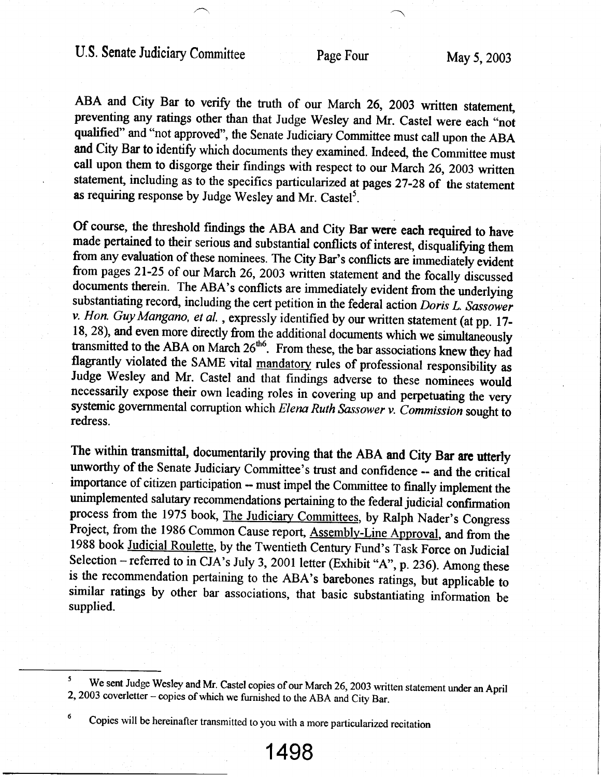ABA and City Bar to verify the truth of our March 26, 2003 written statement, preventing any ratings other than that Judge Wesley and Mr. Castel were each "not qualified" and "not approved", the Senate Judiciary Committee must call upon the ABA and City Bar to identify which documents they examined. Indeed, the Committee must call upon them to disgorge their findings with respect to our March 26, 2003 written statement, including as to the specifics particularized at pages 27-28 of the statement as requiring response by Judge Wesley and Mr. Castel<sup>5</sup>.

Of course, the threshold findings the ABA and City Bar were each required to have made pertained to their serious and substantial conflicts of interest, disqualifying them from any evaluation of these nominees. The City Bar's conflicts are immediately evident<br>from pages 21-25 of our March 26, 2003 written statement and the focally discussed documents therein. The ABA's conflicts are immediately evident from the underlying substantiating record, including the cert petition in the federal action Doris L. Sassower  $v.$  Hon. Guy Mangano, et al., expressly identified by our written statement (at pp. 17-18, 28), and even more directly from the additional documents which we simultaneously transmitted to the ABA on March  $26<sup>th6</sup>$ . From these, the bar associations knew they had flagrantly violated the SAME vital mandatory rules of professional responsibility as Judge Wesley and Mr. Castel and that findings adverse to these nominees would necessarily expose their own leading roles in covering up a systemic governmental corruption which Elena Ruth Sassower v. Commission sought to redress.

The within transmittal, documentarily proving that the ABA and City Bar are utterly unworthy of the Senate Judiciary Committee's trust and confidence -- and the critical importance of citizen participation - must impel the Committee to finally implement the unimplemented salutary recommendations pertaining to the federal judicial confirmation process from the 1975 book, The Judiciary Committees, by Ralph Nader's Congress Project, from the 1986 Common Cause report, **Assembly-Line Approval**, and from the 1988 book Judicial Roulette, by the Twentieth Century Fund's Task Force on Judicial Selection – referred to in CJA's July 3, 2001 letter (Exhibit "A", p. 236). Among these is the recommendation pertaining to the ABA's barebones ratings, but applicable to similar ratings by other bar associations, that basic substantiating information be supplied.

<sup>&</sup>lt;sup>5</sup> We sent Judge Wesley and Mr. Castel copies of our March 26, 2003 written statement under an April 2, 2003 coverletter – copies of which we furnished to the ABA and City Bar.

<sup>&</sup>lt;sup>6</sup> Copies will be hereinafter transmitted to you with a more particularized recitation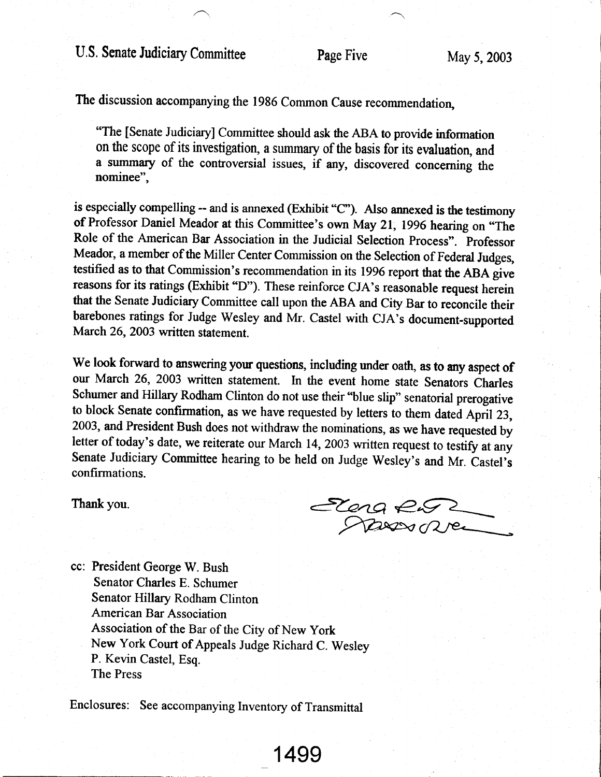The discussion accompanying the 1986 Common Cause recommendation,

"The [Senate Judiciary] Committee should ask the ABA to provide information on the scope of its investigation, a summary of the basis for its evaluation, and a surnmary of the controversial issues, if any, discovered concerning the nominee",

is especially compelling -- and is annexed (Exhibit "C"). Also annexed is the testimony of Professor Daniel Meador at this Committee's own May 21, 1996 hearing on "The Role of the American Bar Association in the Judicial Selection Process". professor Meador, a member of the Miller Center Commission on the Selection of Federal Judges, testified as to that Commission's recommendation in its 1996 report that the ABA give reasons for its ratings (Exhibit "D"). These reinforce CJA's reasonable request herein that the Senate Judiciary Commiffee call upon the ABA and City Bar to reconcile their barebones ratings for Judge Wesley and Mr. Castel with CJA's document-supported March 26, 2003 written statement.

We look forward to answering your questions, including under oath, as to any aspect of our March 26, 2003 wriffen statement. In the event home state Senators Charles Schumer and Hillary Rodham Clinton do not use their "blue slip" senatorial prerogative to block Senate confirmation, as we have requested by letters to them dated April 23, 2003, and President Bush does not withdraw the nominations, as we have requested by letter of today's date, we reiterate our March 14, 2003 written request to testify at any Senate Judiciary Committee hearing to be held on Judge Wesley's and Mr. Castel's confirmations.

Thank you.  $e^{\epsilon}$ fuN>ooAle--

cc: President George W. Bush Senator Charles E. Schumer Senator Hillary Rodham Clinton American Bar Association Association of the Bar of the City of New york New York Court of Appeals Judge Richard C. Wesley P. Kevin Castel, Esq. The Press

Enclosures: See accompanying Inventory of Transmittal